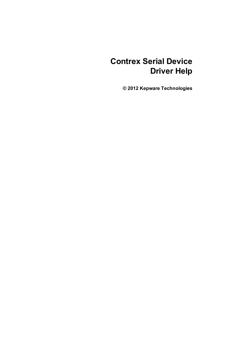# **Contrex Serial Device Driver Help**

**© 2012 Kepware Technologies**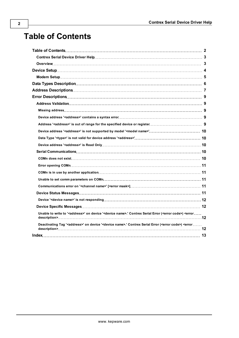# **Table of Contents**

| Unable to write to ' <address>' on device '<device name="">.' Contrex Serial Error (<error code="">) <error <="" td=""><td></td></error></error></device></address> |  |
|---------------------------------------------------------------------------------------------------------------------------------------------------------------------|--|
| Deactivating Tag ' <address>' on device '<device name="">.' Contrex Serial Error (<error code="">) <error <="" td=""><td></td></error></error></device></address>   |  |
|                                                                                                                                                                     |  |
|                                                                                                                                                                     |  |

<span id="page-1-0"></span>**2**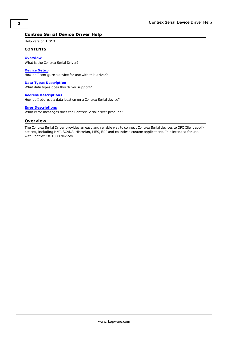## <span id="page-2-0"></span>**Contrex Serial Device Driver Help**

Help version 1.013

#### **CONTENTS**

**[Overview](#page-2-1)** What is the Contrex Serial Driver?

**[Device](#page-3-0) [Setup](#page-3-0)** How do I configure a device for use with this driver?

**[Data](#page-5-0) [Types](#page-5-0) [Description](#page-5-0)**

What data types does this driver support?

**[Address](#page-6-0) [Descriptions](#page-6-0)** How do I address a data location on a Contrex Serial device?

#### **[Error](#page-8-0) [Descriptions](#page-8-0)**

<span id="page-2-1"></span>What error messages does the Contrex Serial driver produce?

## **Overview**

The Contrex Serial Driver provides an easy and reliable way to connect Contrex Serial devices to OPC Client applications, including HMI, SCADA, Historian, MES, ERP and countless custom applications. It is intended for use with Contrex CX-1000 devices.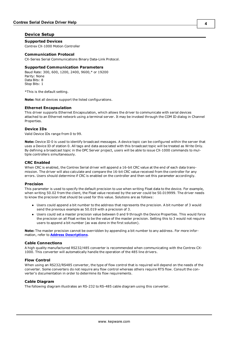### <span id="page-3-0"></span>**Device Setup**

### **Supported Devices**

Contrex CX-1000 Motion Controller

#### **Communication Protocol**

CX-Series Serial Communications Binary Data-Link Protocol.

#### **Supported Communication Parameters**

Baud Rate: 300, 600, 1200, 2400, 9600,\* or 19200 Parity: None Data Bits: 8 Stop Bits: 1

\*This is the default setting.

**Note:** Not all devices support the listed configurations.

#### <span id="page-3-3"></span>**Ethernet Encapsulation**

This driver supports Ethernet Encapsulation, which allows the driver to communicate with serial devices attached to an Ethernet network using a terminal server. It may be invoked through the COM ID dialog in Channel Properties.

#### <span id="page-3-2"></span>**Device IDs**

Valid Device IDs range from 0 to 99.

**Note:** Device ID 0 is used to identify broadcast messages. A device topic can be configured within the server that uses a Device ID of station 0. All tags and data associated with this broadcast topic will be treated as Write Only. By defining a broadcast topic in the OPC Server project, users will be able to issue CX-1000 commands to multiple controllers simultaneously.

#### <span id="page-3-1"></span>**CRC Enabled**

When CRC is enabled, the Contrex Serial driver will append a 16-bit CRC value at the end of each data transmission. The driver will also calculate and compare the 16-bit CRC value received from the controller for any errors. Users should determine if CRC is enabled on the controller and then set this parameter accordingly.

#### **Precision**

This parameter is used to specify the default precision to use when writing Float data to the device. For example, when writing 50.02 from the client, the Float value received by the server could be 50.019999. The driver needs to know the precision that should be used for this value. Solutions are as follows:

- Users could append a bit number to the address that represents the precision. A bit number of 3 would send the previous example as 50.019 with a precision of 3.
- Users could set a master precision value between 0 and 9 through the Device Properties. This would force the precision on all Float writes to be the value of the master precision. Setting this to 3 would not require users to append a bit number (as was done in the first solution).

**Note:** The master precision cannot be overridden by appending a bit number to any address. For more information, refer to **[Address](#page-6-0) [Descriptions](#page-6-0)**.

#### **Cable Connections**

A high quality manufactured RS232/485 converter is recommended when communicating with the Contrex CX-1000. This converter will automatically handle the operation of the 485 line drivers.

#### **Flow Control**

When using an RS232/RS485 converter, the type of flow control that is required will depend on the needs of the converter. Some converters do not require any flow control whereas others require RTS flow. Consult the converter's documentation in order to determine its flow requirements.

#### **Cable Diagram**

The following diagram illustrates an RS-232 to RS-485 cable diagram using this converter.

**4**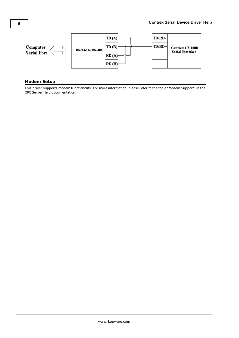

### <span id="page-4-0"></span>**Modem Setup**

This driver supports modem functionality. For more information, please refer to the topic "Modem Support" in the OPC Server Help documentation.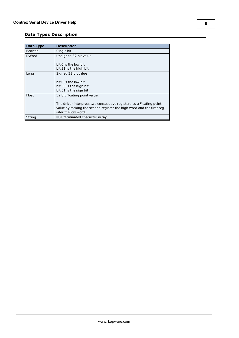# <span id="page-5-0"></span>**Data Types Description**

<span id="page-5-5"></span><span id="page-5-4"></span><span id="page-5-3"></span><span id="page-5-2"></span><span id="page-5-1"></span>

| Data Type    | <b>Description</b>                                                                                                                                                 |
|--------------|--------------------------------------------------------------------------------------------------------------------------------------------------------------------|
| Boolean      | Single bit                                                                                                                                                         |
| <b>DWord</b> | Unsigned 32 bit value                                                                                                                                              |
|              | bit 0 is the low bit<br>bit 31 is the high bit                                                                                                                     |
| Long         | Signed 32 bit value                                                                                                                                                |
|              | bit 0 is the low bit<br>bit 30 is the high bit<br>bit 31 is the sign bit                                                                                           |
| Float        | 32 bit Floating point value.                                                                                                                                       |
|              | The driver interprets two consecutive registers as a Floating point<br>value by making the second register the high word and the first reg-<br>ister the low word. |
| String       | Null terminated character array                                                                                                                                    |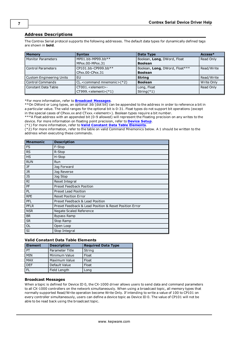# <span id="page-6-0"></span>**Address Descriptions**

The Contrex Serial protocol supports the following addresses. The default data types for dynamically defined tags are shown in **bold**.

| <b>Memory</b>                   | <b>Syntax</b>                     | Data Type                      | Access*    |
|---------------------------------|-----------------------------------|--------------------------------|------------|
| <b>Monitor Parameters</b>       | MP01.bb-MP99.bb**                 | Boolean, Long, DWord, Float    | Read Only  |
|                                 | MPxx.00-MPxx.31                   | <b>Boolean</b>                 |            |
| <b>Control Parameters</b>       | $CP101.bb-CP999.bb**$             | Boolean, Long, DWord, Float*** | Read/Write |
|                                 | CPxx.00-CPxx.31                   | <b>Boolean</b>                 |            |
| <b>Custom Engineering Units</b> | EU                                | <b>String</b>                  | Read/Write |
| <b>Control Commands</b>         | $CL$ , < command mnemonic > $(*)$ | <b>Boolean</b>                 | Write Only |
| Constant Data Table             | $CT001$ .<br>$\leq$ element>-     | Long, Float                    | Read Only  |
|                                 | $CT999$ . < element> $(*1)$       | String $(*1)$                  |            |

\*For more information, refer to **[Broadcast](#page-6-1) [Messages](#page-6-1)**.

\*\*On DWord or Long types, an optional .bb (dot bit) can be appended to the address in order to reference a bit in a particular value. The valid ranges for the optional bit is 0-31. Float types do not support bit operations (except in the special cases of CPxxx.xx and CTxxx. < element>). Boolean types require a bit number.

\*\*\*A Float address with an appended bit (0-9 allowed) will represent the Floating precision on any writes to the device. For more information on floating point precision, refer to **[Device](#page-3-0) [Setup](#page-3-0)**.

(\*1) For more information, refer to **[Valid](#page-6-2) [Constant](#page-6-2) [Data](#page-6-2) [Table](#page-6-2) [Elements](#page-6-2)**.

(\*2) For more information, refer to the table on valid Command Mnemonics below. A 1 should be written to the address when executing these commands.

| <b>Mnemonic</b> | <b>Description</b>                                     |
|-----------------|--------------------------------------------------------|
| <b>FS</b>       | F-Stop                                                 |
| <b>RS</b>       | R-Stop                                                 |
| <b>HS</b>       | H-Stop                                                 |
| <b>RUN</b>      | <b>Run</b>                                             |
| <b>JF</b>       | Jog Forward                                            |
| <b>JR</b>       | Jog Reverse                                            |
| <b>JS</b>       | Jog Stop                                               |
| <b>RI</b>       | Reset Integral                                         |
| PF              | Preset Feedback Position                               |
| <b>PL</b>       | <b>Preset Lead Position</b>                            |
| <b>RPE</b>      | <b>Reset Position Error</b>                            |
| <b>PFL</b>      | Preset Feedback & Lead Position                        |
| <b>PFLR</b>     | Preset Feedback & Lead Position & Reset Position Error |
| <b>NSR</b>      | Negate Scaled Reference                                |
| <b>BR</b>       | <b>Bypass Ramp</b>                                     |
| <b>SR</b>       | Stop Ramp                                              |
| OL              | Open Loop                                              |
| SI              | Stop Integral                                          |

#### <span id="page-6-2"></span>**Valid Constant Data Table Elements**

| <b>Element</b> | <b>Description</b> | <b>Required Data Type</b> |
|----------------|--------------------|---------------------------|
| PT             | Parameter Title    | String                    |
| <b>MIN</b>     | Minimum Value      | Float                     |
| <b>MAX</b>     | Maximum Value      | Float                     |
| <b>DEF</b>     | Default Value      | Float                     |
| `FL            | Field Length       | Long                      |

#### <span id="page-6-1"></span>**Broadcast Messages**

When a topic is defined for Device ID 0, the CX-1000 driver allows users to send data and command parameters to all CX-1000 controllers on the network simultaneously. When using a broadcast topic, all memory types that normally supported Read/Write operation become Write Only. If intending to write a value of 100 to CP101 on every controller simultaneously, users can define a device topic as Device ID 0. The value of CP101 will not be able to be read back using the broadcast topic.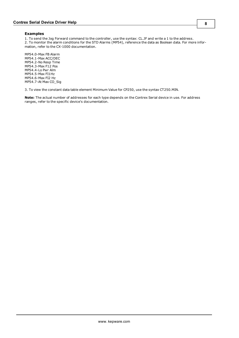#### **Examples**

1. To send the Jog Forward command to the controller, use the syntax: CL.JF and write a 1 to the address. 2. To monitor the alarm conditions for the STD Alarms (MP54), reference the data as Boolean data. For more information, refer to the CX-1000 documentation.

MP54.0-Max FB Alarm MP54.1-Max ACC/DEC MP54.2-No Resp Time MP54.3-Max F12 Pos MP54.4-Lo Pwr Alm MP54.5-Max FI1Hz MP54.6-Max FI2 Hz MP54.7-At Max CO\_Sig

3. To view the constant data table element Minimum Value for CP250, use the syntax CT250.MIN.

**Note:** The actual number of addresses for each type depends on the Contrex Serial device in use. For address ranges, refer to the specific device's documentation.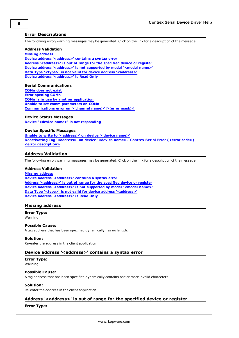### <span id="page-8-0"></span>**Error Descriptions**

The following error/warning messages may be generated. Click on the link for a description of the message.

#### **Address Validation**

**[Missing](#page-8-2) [address](#page-8-2) [Device](#page-8-3) [address](#page-8-3) ['<address>'](#page-8-3) [contains](#page-8-3) [a](#page-8-3) [syntax](#page-8-3) [error](#page-8-3) [Address](#page-8-4) ['<address>'](#page-8-4) [is](#page-8-4) [out](#page-8-4) [of](#page-8-4) [range](#page-8-4) [for](#page-8-4) [the](#page-8-4) [specified](#page-8-4) [device](#page-8-4) [or](#page-8-4) [register](#page-8-4) [Device](#page-9-0) [address](#page-9-0) ['<address>'](#page-9-0) [is](#page-9-0) [not](#page-9-0) [supported](#page-9-0) [by](#page-9-0) [model](#page-9-0) ['<model](#page-9-0) [name>'](#page-9-0) [Data](#page-9-1) [Type](#page-9-1) ['<type>'](#page-9-1) [is](#page-9-1) [not](#page-9-1) [valid](#page-9-1) [for](#page-9-1) [device](#page-9-1) [address](#page-9-1) ['<address>'](#page-9-1) [Device](#page-9-2) [address](#page-9-2) ['<address>'](#page-9-2) [is](#page-9-2) [Read](#page-9-2) [Only](#page-9-2)** 

#### **Serial Communications**

**[COMn](#page-9-4) [does](#page-9-4) [not](#page-9-4) [exist](#page-9-4) [Error](#page-10-0) [opening](#page-10-0) [COMn](#page-10-0) [COMn](#page-10-1) [is](#page-10-1) [in](#page-10-1) [use](#page-10-1) [by](#page-10-1) [another](#page-10-1) [application](#page-10-1) [Unable](#page-10-2) [to](#page-10-2) [set](#page-10-2) [comm](#page-10-2) [parameters](#page-10-2) [on](#page-10-2) [COMn](#page-10-2) [Communications](#page-10-3) [error](#page-10-3) [on](#page-10-3) ['<channel](#page-10-3) [name>'](#page-10-3) [\[<error](#page-10-3) [mask>\]](#page-10-3)**

#### **Device Status Messages**

**[Device](#page-11-0) ['<device](#page-11-0) [name>'](#page-11-0) [is](#page-11-0) [not](#page-11-0) [responding](#page-11-0)**

#### **Device Specific Messages**

**[Unable](#page-11-2) [to](#page-11-2) [write](#page-11-2) [to](#page-11-2) ['<address>'](#page-11-2) [on](#page-11-2) [device](#page-11-2) ['<device](#page-11-2) [name>'](#page-11-2) [Deactivating](#page-11-3) [Tag](#page-11-3) ['<address>'](#page-11-3) [on](#page-11-3) [device](#page-11-3) ['<device](#page-11-3) [name>.'](#page-11-3) [Contrex](#page-11-3) [Serial](#page-11-3) [Error](#page-11-3) [\(<error](#page-11-3) [code>\)](#page-11-3) [<error](#page-11-3) [description>](#page-11-3)**

### <span id="page-8-1"></span>**Address Validation**

The following error/warning messages may be generated. Click on the link for a description of the message.

#### **Address Validation**

**[Missing](#page-8-2) [address](#page-8-2) [Device](#page-8-3) [address](#page-8-3) ['<address>'](#page-8-3) [contains](#page-8-3) [a](#page-8-3) [syntax](#page-8-3) [error](#page-8-3) [Address](#page-8-4) ['<address>'](#page-8-4) [is](#page-8-4) [out](#page-8-4) [of](#page-8-4) [range](#page-8-4) [for](#page-8-4) [the](#page-8-4) [specified](#page-8-4) [device](#page-8-4) [or](#page-8-4) [register](#page-8-4) [Device](#page-9-0) [address](#page-9-0) ['<address>'](#page-9-0) [is](#page-9-0) [not](#page-9-0) [supported](#page-9-0) [by](#page-9-0) [model](#page-9-0) ['<model](#page-9-0) [name>'](#page-9-0) [Data](#page-9-1) [Type](#page-9-1) ['<type>'](#page-9-1) [is](#page-9-1) [not](#page-9-1) [valid](#page-9-1) [for](#page-9-1) [device](#page-9-1) [address](#page-9-1) ['<address>'](#page-9-1) [Device](#page-9-2) [address](#page-9-2) ['<address>'](#page-9-2) [is](#page-9-2) [Read](#page-9-2) [Only](#page-9-2)** 

#### <span id="page-8-2"></span>**Missing address**

#### **Error Type:**

Warning

#### **Possible Cause:**

A tag address that has been specified dynamically has no length.

#### **Solution:**

<span id="page-8-3"></span>Re-enter the address in the client application.

#### Device address '<address>' contains a syntax error

# **Error Type:**

Warning

### **Possible Cause:**

A tag address that has been specified dynamically contains one or more invalid characters.

#### **Solution:**

<span id="page-8-4"></span>Re-enter the address in the client application.

### **Address '<address>' is out of range for the specified device or register**

#### **Error Type:**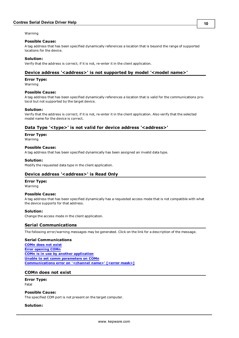Warning

#### **Possible Cause:**

A tag address that has been specified dynamically references a location that is beyond the range of supported locations for the device.

#### **Solution:**

<span id="page-9-0"></span>Verify that the address is correct; if it is not, re-enter it in the client application.

### Device address '<address>' is not supported by model '<model name>'

#### **Error Type:**

Warning

#### **Possible Cause:**

A tag address that has been specified dynamically references a location that is valid for the communications protocol but not supported by the target device.

#### **Solution:**

Verify that the address is correct; if it is not, re-enter it in the client application. Also verify that the selected model name for the device is correct.

### <span id="page-9-1"></span>Data Type '<type>' is not valid for device address '<address>'

**Error Type:**

Warning

#### **Possible Cause:**

A tag address that has been specified dynamically has been assigned an invalid data type.

#### **Solution:**

<span id="page-9-2"></span>Modify the requested data type in the client application.

#### **Device address '<address>' is Read Only**

#### **Error Type:**

Warning

#### **Possible Cause:**

A tag address that has been specified dynamically has a requested access mode that is not compatible with what the device supports for that address.

#### **Solution:**

<span id="page-9-3"></span>Change the access mode in the client application.

#### **Serial Communications**

The following error/warning messages may be generated. Click on the link for a description of the message.

#### **Serial Communications**

**[COMn](#page-9-4) [does](#page-9-4) [not](#page-9-4) [exist](#page-9-4) [Error](#page-10-0) [opening](#page-10-0) [COMn](#page-10-0) [COMn](#page-10-1) [is](#page-10-1) [in](#page-10-1) [use](#page-10-1) [by](#page-10-1) [another](#page-10-1) [application](#page-10-1) [Unable](#page-10-2) [to](#page-10-2) [set](#page-10-2) [comm](#page-10-2) [parameters](#page-10-2) [on](#page-10-2) [COMn](#page-10-2) [Communications](#page-10-3) [error](#page-10-3) [on](#page-10-3) ['<channel](#page-10-3) [name>'](#page-10-3) [\[<error](#page-10-3) [mask>\]](#page-10-3)**

#### <span id="page-9-4"></span>**COMn does not exist**

**Error Type:** Fatal

#### **Possible Cause:**

The specified COM port is not present on the target computer.

#### **Solution:**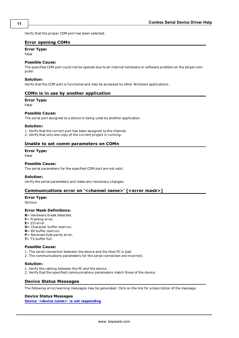<span id="page-10-0"></span>Verify that the proper COM port has been selected.

### **Error opening COMn**

# **Error Type:**

Fatal

#### **Possible Cause:**

The specified COM port could not be opened due to an internal hardware or software problem on the target computer.

#### **Solution:**

<span id="page-10-1"></span>Verify that the COM port is functional and may be accessed by other Windows applications.

#### **COMn is in use by another application**

#### **Error Type:**

Fatal

#### **Possible Cause:**

The serial port assigned to a device is being used by another application.

#### **Solution:**

1. Verify that the correct port has been assigned to the channel. 2. Verify that only one copy of the current project is running.

# <span id="page-10-2"></span>**Unable to set comm parameters on COMn**

## **Error Type:**

Fatal

#### **Possible Cause:**

The serial parameters for the specified COM port are not valid.

#### **Solution:**

<span id="page-10-3"></span>Verify the serial parameters and make any necessary changes.

### **Communications error on '<channel name>' [<error mask>]**

### **Error Type:**

Serious

#### **Error Mask Definitions:**

- <span id="page-10-5"></span>**B**= Hardware break detected.
- **F**= Framing error.
- <span id="page-10-6"></span> $E = I/O$  error.
- **O**= Character buffer overrun.
- <span id="page-10-7"></span>**R**= RX buffer overrun.
- **P**= Received byte parity error.
- **T**= TX buffer full.

#### **Possible Cause:**

- 1. The serial connection between the device and the Host PC is bad.
- 2. The communications parameters for the serial connection are incorrect.

#### **Solution:**

- 1. Verify the cabling between the PC and the device.
- <span id="page-10-4"></span>2. Verify that the specified communications parameters match those of the device.

#### **Device Status Messages**

The following error/warning messages may be generated. Click on the link for a description of the message.

## **Device Status Messages**

**[Device](#page-11-0) ['<device](#page-11-0) [name>'](#page-11-0) [is](#page-11-0) [not](#page-11-0) [responding](#page-11-0)**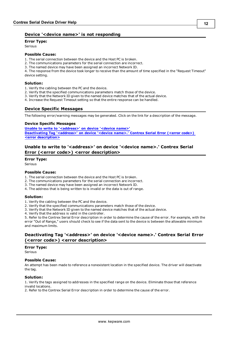## <span id="page-11-0"></span>**Device '<device name>' is not responding**

**Error Type:**

Serious

### **Possible Cause:**

1. The serial connection between the device and the Host PC is broken.

- 2. The communications parameters for the serial connection are incorrect.
- 3. The named device may have been assigned an incorrect Network ID.

4. The response from the device took longer to receive than the amount of time specified in the "Request Timeout" device setting.

#### **Solution:**

- 1. Verify the cabling between the PC and the device.
- 2. Verify that the specified communications parameters match those of the device.
- 3. Verify that the Network ID given to the named device matches that of the actual device.
- <span id="page-11-1"></span>4. Increase the Request Timeout setting so that the entire response can be handled.

### **Device Specific Messages**

The following error/warning messages may be generated. Click on the link for a description of the message.

#### **Device Specific Messages**

**[Unable](#page-11-2) [to](#page-11-2) [write](#page-11-2) [to](#page-11-2) ['<address>'](#page-11-2) [on](#page-11-2) [device](#page-11-2) ['<device](#page-11-2) [name>'](#page-11-2) [Deactivating](#page-11-3) [Tag](#page-11-3) ['<address>'](#page-11-3) [on](#page-11-3) [device](#page-11-3) ['<device](#page-11-3) [name>.'](#page-11-3) [Contrex](#page-11-3) [Serial](#page-11-3) [Error](#page-11-3) [\(<error](#page-11-3) [code>\)](#page-11-3) [<error](#page-11-3) [description>](#page-11-3)**

# <span id="page-11-2"></span>Unable to write to '<address>' on device '<device name>.' Contrex Serial **Error (<error code>) <error description>**

#### **Error Type:**

Serious

#### **Possible Cause:**

- 1. The serial connection between the device and the Host PC is broken.
- 2. The communications parameters for the serial connection are incorrect.
- 3. The named device may have been assigned an incorrect Network ID.
- 4. The address that is being written to is invalid or the data is out of range.

#### **Solution:**

- 1. Verify the cabling between the PC and the device.
- 2. Verify that the specified communications parameters match those of the device.
- 3. Verify that the Network ID given to the named device matches that of the actual device.
- 4. Verify that the address is valid in the controller.

5. Refer to the Contrex Serial Error description in order to determine the cause of the error. For example, with the error "Out of Range," users should check to see if the data sent to the device is between the allowable minimum and maximum limits.

### <span id="page-11-3"></span>Deactivating Tag '<address>' on device '<device name>.' Contrex Serial Error **(<error code>) <error description>**

#### **Error Type:**

Serious

#### **Possible Cause:**

An attempt has been made to reference a nonexistent location in the specified device. The driver will deactivate the tag.

#### **Solution:**

1. Verify the tags assigned to addresses in the specified range on the device. Eliminate those that reference invalid locations.

2. Refer to the Contrex Serial Error description in order to determine the cause of the error.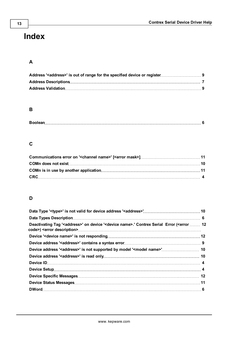# <span id="page-12-0"></span>**Index**

# **A**

# **B**

# **C**

# **D**

| Deactivating Tag ' <address>' on device '<device name="">.' Contrex Serial Error (<error 12<="" td=""><td></td></error></device></address> |  |
|--------------------------------------------------------------------------------------------------------------------------------------------|--|
|                                                                                                                                            |  |
|                                                                                                                                            |  |
|                                                                                                                                            |  |
|                                                                                                                                            |  |
|                                                                                                                                            |  |
|                                                                                                                                            |  |
|                                                                                                                                            |  |
|                                                                                                                                            |  |
|                                                                                                                                            |  |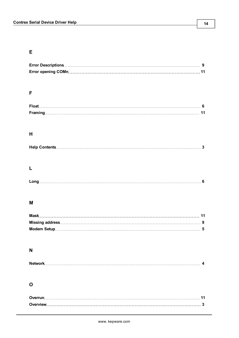# **E**

# **F**

# **H**

|--|--|

# **L**

# **M**

# **N**

|--|--|

# **O**